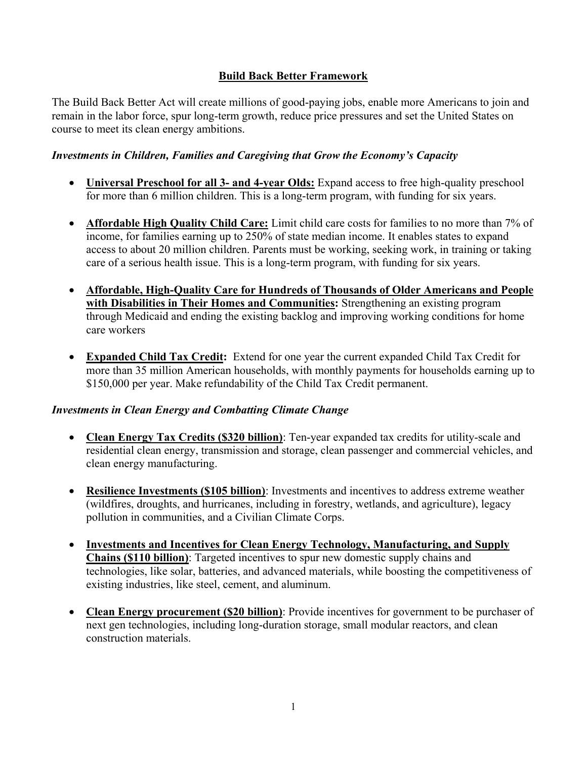# **Build Back Better Framework**

The Build Back Better Act will create millions of good-paying jobs, enable more Americans to join and remain in the labor force, spur long-term growth, reduce price pressures and set the United States on course to meet its clean energy ambitions.

#### *Investments in Children, Families and Caregiving that Grow the Economy's Capacity*

- **Universal Preschool for all 3- and 4-year Olds:** Expand access to free high-quality preschool for more than 6 million children. This is a long-term program, with funding for six years.
- **Affordable High Quality Child Care:** Limit child care costs for families to no more than 7% of income, for families earning up to 250% of state median income. It enables states to expand access to about 20 million children. Parents must be working, seeking work, in training or taking care of a serious health issue. This is a long-term program, with funding for six years.
- **Affordable, High-Quality Care for Hundreds of Thousands of Older Americans and People with Disabilities in Their Homes and Communities:** Strengthening an existing program through Medicaid and ending the existing backlog and improving working conditions for home care workers
- **Expanded Child Tax Credit:** Extend for one year the current expanded Child Tax Credit for more than 35 million American households, with monthly payments for households earning up to \$150,000 per year. Make refundability of the Child Tax Credit permanent.

#### *Investments in Clean Energy and Combatting Climate Change*

- **Clean Energy Tax Credits (\$320 billion)**: Ten-year expanded tax credits for utility-scale and residential clean energy, transmission and storage, clean passenger and commercial vehicles, and clean energy manufacturing.
- **Resilience Investments (\$105 billion)**: Investments and incentives to address extreme weather (wildfires, droughts, and hurricanes, including in forestry, wetlands, and agriculture), legacy pollution in communities, and a Civilian Climate Corps.
- **Investments and Incentives for Clean Energy Technology, Manufacturing, and Supply Chains (\$110 billion)**: Targeted incentives to spur new domestic supply chains and technologies, like solar, batteries, and advanced materials, while boosting the competitiveness of existing industries, like steel, cement, and aluminum.
- **Clean Energy procurement (\$20 billion)**: Provide incentives for government to be purchaser of next gen technologies, including long-duration storage, small modular reactors, and clean construction materials.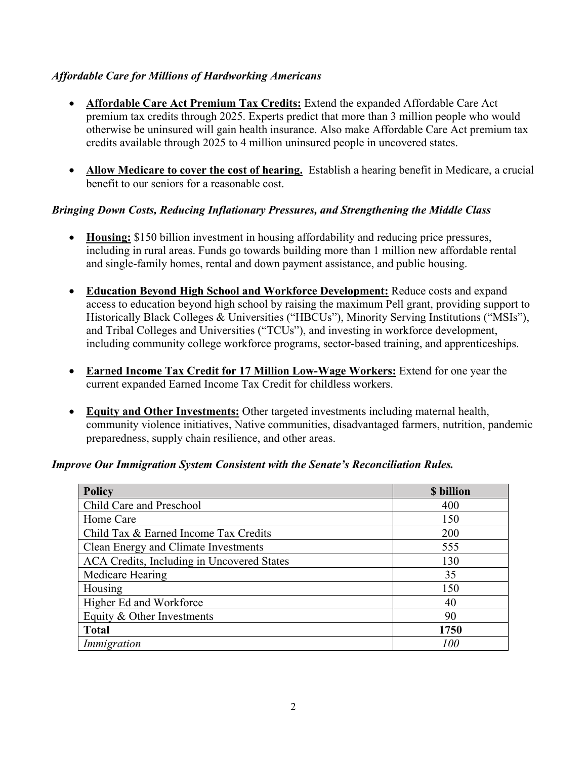# *Affordable Care for Millions of Hardworking Americans*

- **Affordable Care Act Premium Tax Credits:** Extend the expanded Affordable Care Act premium tax credits through 2025. Experts predict that more than 3 million people who would otherwise be uninsured will gain health insurance. Also make Affordable Care Act premium tax credits available through 2025 to 4 million uninsured people in uncovered states.
- **Allow Medicare to cover the cost of hearing.** Establish a hearing benefit in Medicare, a crucial benefit to our seniors for a reasonable cost.

# *Bringing Down Costs, Reducing Inflationary Pressures, and Strengthening the Middle Class*

- **Housing:** \$150 billion investment in housing affordability and reducing price pressures, including in rural areas. Funds go towards building more than 1 million new affordable rental and single-family homes, rental and down payment assistance, and public housing.
- **Education Beyond High School and Workforce Development:** Reduce costs and expand access to education beyond high school by raising the maximum Pell grant, providing support to Historically Black Colleges & Universities ("HBCUs"), Minority Serving Institutions ("MSIs"), and Tribal Colleges and Universities ("TCUs"), and investing in workforce development, including community college workforce programs, sector-based training, and apprenticeships.
- **Earned Income Tax Credit for 17 Million Low-Wage Workers:** Extend for one year the current expanded Earned Income Tax Credit for childless workers.
- **Equity and Other Investments:** Other targeted investments including maternal health, community violence initiatives, Native communities, disadvantaged farmers, nutrition, pandemic preparedness, supply chain resilience, and other areas.

#### *Improve Our Immigration System Consistent with the Senate's Reconciliation Rules.*

| Policy                                     | \$ billion |
|--------------------------------------------|------------|
| Child Care and Preschool                   | 400        |
| Home Care                                  | 150        |
| Child Tax & Earned Income Tax Credits      | 200        |
| Clean Energy and Climate Investments       | 555        |
| ACA Credits, Including in Uncovered States | 130        |
| Medicare Hearing                           | 35         |
| Housing                                    | 150        |
| Higher Ed and Workforce                    | 40         |
| Equity & Other Investments                 | 90         |
| <b>Total</b>                               | 1750       |
| Immigration                                | 100        |